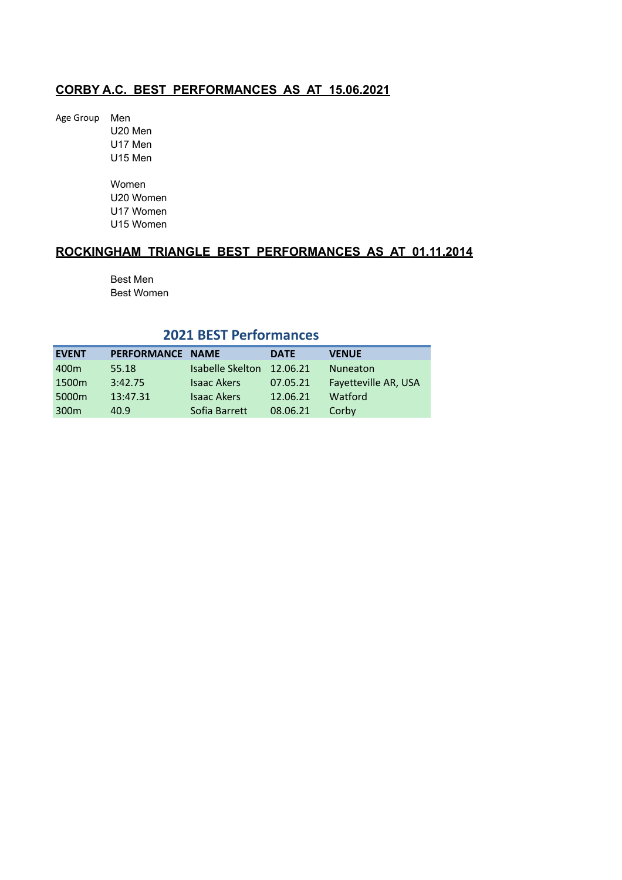Age Group Men U20 Men U17 Men U15 Men Women U20 Women U17 Women

U15 Women

# **ROCKINGHAM TRIANGLE BEST PERFORMANCES AS AT 01.11.2014**

Best Men Best Women

# **2021 BEST Performances**

| <b>EVENT</b>      | PERFORMANCE NAME |                    | <b>DATE</b> | <b>VENUE</b>         |
|-------------------|------------------|--------------------|-------------|----------------------|
| 400m              | 55.18            | Isabelle Skelton   | 12.06.21    | <b>Nuneaton</b>      |
| 1500 <sub>m</sub> | 3:42.75          | <b>Isaac Akers</b> | 07.05.21    | Fayetteville AR, USA |
| 5000m             | 13:47.31         | <b>Isaac Akers</b> | 12.06.21    | Watford              |
| 300 <sub>m</sub>  | 40.9             | Sofia Barrett      | 08.06.21    | Corby                |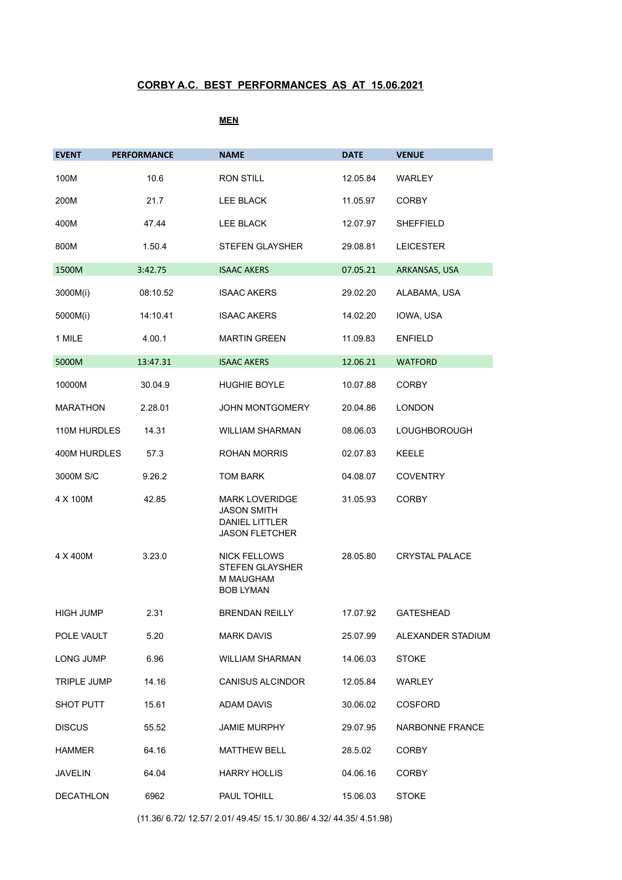### **MEN**

| <b>EVENT</b>     | <b>PERFORMANCE</b> | <b>NAME</b>                                                                                   | <b>DATE</b> | <b>VENUE</b>          |
|------------------|--------------------|-----------------------------------------------------------------------------------------------|-------------|-----------------------|
| 100M             | 10.6               | <b>RON STILL</b>                                                                              | 12.05.84    | WARLEY                |
| 200M             | 21.7               | LEE BLACK                                                                                     | 11.05.97    | <b>CORBY</b>          |
| 400M             | 47.44              | LEE BLACK                                                                                     | 12.07.97    | <b>SHEFFIELD</b>      |
| 800M             | 1.50.4             | STEFEN GLAYSHER                                                                               | 29.08.81    | <b>LEICESTER</b>      |
| 1500M            | 3:42.75            | <b>ISAAC AKERS</b>                                                                            | 07.05.21    | ARKANSAS, USA         |
| 3000M(i)         | 08:10.52           | <b>ISAAC AKERS</b>                                                                            | 29.02.20    | ALABAMA, USA          |
| 5000M(i)         | 14:10.41           | <b>ISAAC AKERS</b>                                                                            | 14.02.20    | IOWA, USA             |
| 1 MILE           | 4.00.1             | <b>MARTIN GREEN</b>                                                                           | 11.09.83    | <b>ENFIELD</b>        |
| 5000M            | 13:47.31           | <b>ISAAC AKERS</b>                                                                            | 12.06.21    | <b>WATFORD</b>        |
| 10000M           | 30.04.9            | <b>HUGHIE BOYLE</b>                                                                           | 10.07.88    | <b>CORBY</b>          |
| MARATHON         | 2.28.01            | <b>JOHN MONTGOMERY</b>                                                                        | 20.04.86    | LONDON                |
| 110M HURDLES     | 14.31              | <b>WILLIAM SHARMAN</b>                                                                        | 08.06.03    | <b>LOUGHBOROUGH</b>   |
| 400M HURDLES     | 57.3               | <b>ROHAN MORRIS</b>                                                                           | 02.07.83    | KEELE                 |
| 3000M S/C        | 9.26.2             | <b>TOM BARK</b>                                                                               | 04.08.07    | <b>COVENTRY</b>       |
| 4 X 100M         | 42.85              | <b>MARK LOVERIDGE</b><br><b>JASON SMITH</b><br><b>DANIEL LITTLER</b><br><b>JASON FLETCHER</b> | 31.05.93    | CORBY                 |
| 4 X 400M         | 3.23.0             | <b>NICK FELLOWS</b><br><b>STEFEN GLAYSHER</b><br>M MAUGHAM<br><b>BOB LYMAN</b>                | 28.05.80    | <b>CRYSTAL PALACE</b> |
| <b>HIGH JUMP</b> | 2.31               | <b>BRENDAN REILLY</b>                                                                         | 17.07.92    | <b>GATESHEAD</b>      |
| POLE VAULT       | 5.20               | <b>MARK DAVIS</b>                                                                             | 25.07.99    | ALEXANDER STADIUM     |
| LONG JUMP        | 6.96               | WILLIAM SHARMAN                                                                               | 14.06.03    | <b>STOKE</b>          |
| TRIPLE JUMP      | 14.16              | <b>CANISUS ALCINDOR</b>                                                                       | 12.05.84    | WARLEY                |
| SHOT PUTT        | 15.61              | ADAM DAVIS                                                                                    | 30.06.02    | <b>COSFORD</b>        |
| <b>DISCUS</b>    | 55.52              | JAMIE MURPHY                                                                                  | 29.07.95    | NARBONNE FRANCE       |
| HAMMER           | 64.16              | <b>MATTHEW BELL</b>                                                                           | 28.5.02     | <b>CORBY</b>          |
| JAVELIN          | 64.04              | <b>HARRY HOLLIS</b>                                                                           | 04.06.16    | <b>CORBY</b>          |
| DECATHLON        | 6962               | PAUL TOHILL                                                                                   | 15.06.03    | <b>STOKE</b>          |

(11.36/ 6.72/ 12.57/ 2.01/ 49.45/ 15.1/ 30.86/ 4.32/ 44.35/ 4.51.98)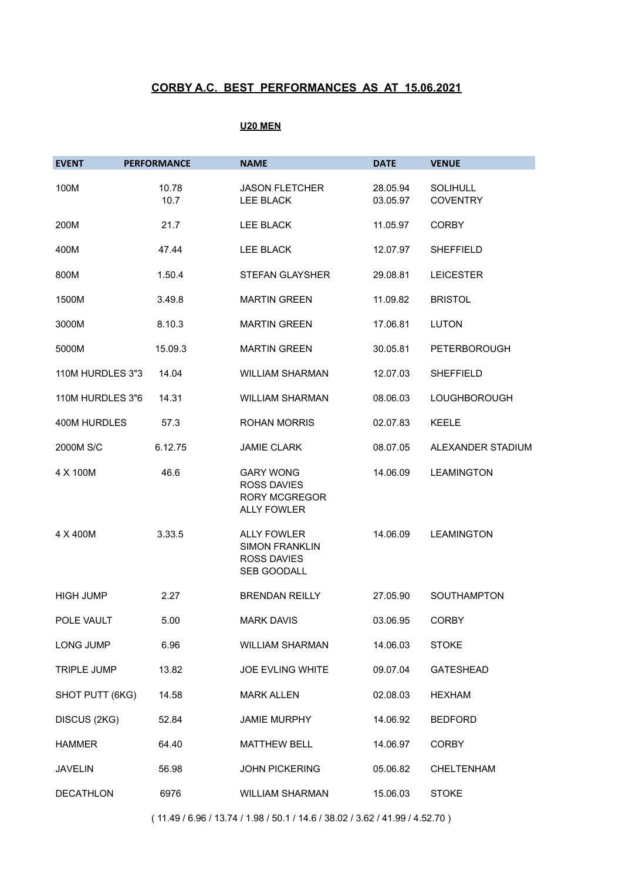### **U20 MEN**

| <b>EVENT</b>       | <b>PERFORMANCE</b> | <b>NAME</b>                                                                          | <b>DATE</b>          | <b>VENUE</b>                       |
|--------------------|--------------------|--------------------------------------------------------------------------------------|----------------------|------------------------------------|
| 100M               | 10.78<br>10.7      | <b>JASON FLETCHER</b><br><b>LEE BLACK</b>                                            | 28.05.94<br>03.05.97 | <b>SOLIHULL</b><br><b>COVENTRY</b> |
| 200M               | 21.7               | <b>LEE BLACK</b>                                                                     | 11.05.97             | <b>CORBY</b>                       |
| 400M               | 47.44              | <b>LEE BLACK</b>                                                                     | 12.07.97             | <b>SHEFFIELD</b>                   |
| 800M               | 1.50.4             | <b>STEFAN GLAYSHER</b>                                                               | 29.08.81             | <b>LEICESTER</b>                   |
| 1500M              | 3.49.8             | <b>MARTIN GREEN</b>                                                                  | 11.09.82             | <b>BRISTOL</b>                     |
| 3000M              | 8.10.3             | <b>MARTIN GREEN</b>                                                                  | 17.06.81             | <b>LUTON</b>                       |
| 5000M              | 15.09.3            | <b>MARTIN GREEN</b>                                                                  | 30.05.81             | <b>PETERBOROUGH</b>                |
| 110M HURDLES 3"3   | 14.04              | <b>WILLIAM SHARMAN</b>                                                               | 12.07.03             | <b>SHEFFIELD</b>                   |
| 110M HURDLES 3"6   | 14.31              | <b>WILLIAM SHARMAN</b>                                                               | 08.06.03             | <b>LOUGHBOROUGH</b>                |
| 400M HURDLES       | 57.3               | <b>ROHAN MORRIS</b>                                                                  | 02.07.83             | <b>KEELE</b>                       |
| 2000M S/C          | 6.12.75            | <b>JAMIE CLARK</b>                                                                   | 08.07.05             | ALEXANDER STADIUM                  |
| 4 X 100M           | 46.6               | <b>GARY WONG</b><br><b>ROSS DAVIES</b><br><b>RORY MCGREGOR</b><br><b>ALLY FOWLER</b> | 14.06.09             | <b>LEAMINGTON</b>                  |
| 4 X 400M           | 3.33.5             | <b>ALLY FOWLER</b><br><b>SIMON FRANKLIN</b><br><b>ROSS DAVIES</b><br>SEB GOODALL     | 14.06.09             | <b>LEAMINGTON</b>                  |
| <b>HIGH JUMP</b>   | 2.27               | <b>BRENDAN REILLY</b>                                                                | 27.05.90             | SOUTHAMPTON                        |
| POLE VAULT         | 5.00               | <b>MARK DAVIS</b>                                                                    | 03.06.95             | <b>CORBY</b>                       |
| LONG JUMP          | 6.96               | <b>WILLIAM SHARMAN</b>                                                               | 14.06.03             | <b>STOKE</b>                       |
| <b>TRIPLE JUMP</b> | 13.82              | <b>JOE EVLING WHITE</b>                                                              | 09.07.04             | <b>GATESHEAD</b>                   |
| SHOT PUTT (6KG)    | 14.58              | <b>MARK ALLEN</b>                                                                    | 02.08.03             | <b>HEXHAM</b>                      |
| DISCUS (2KG)       | 52.84              | <b>JAMIE MURPHY</b>                                                                  | 14.06.92             | <b>BEDFORD</b>                     |
| <b>HAMMER</b>      | 64.40              | <b>MATTHEW BELL</b>                                                                  | 14.06.97             | <b>CORBY</b>                       |
| <b>JAVELIN</b>     | 56.98              | <b>JOHN PICKERING</b>                                                                | 05.06.82             | <b>CHELTENHAM</b>                  |
| <b>DECATHLON</b>   | 6976               | <b>WILLIAM SHARMAN</b>                                                               | 15.06.03             | <b>STOKE</b>                       |

( 11.49 / 6.96 / 13.74 / 1.98 / 50.1 / 14.6 / 38.02 / 3.62 / 41.99 / 4.52.70 )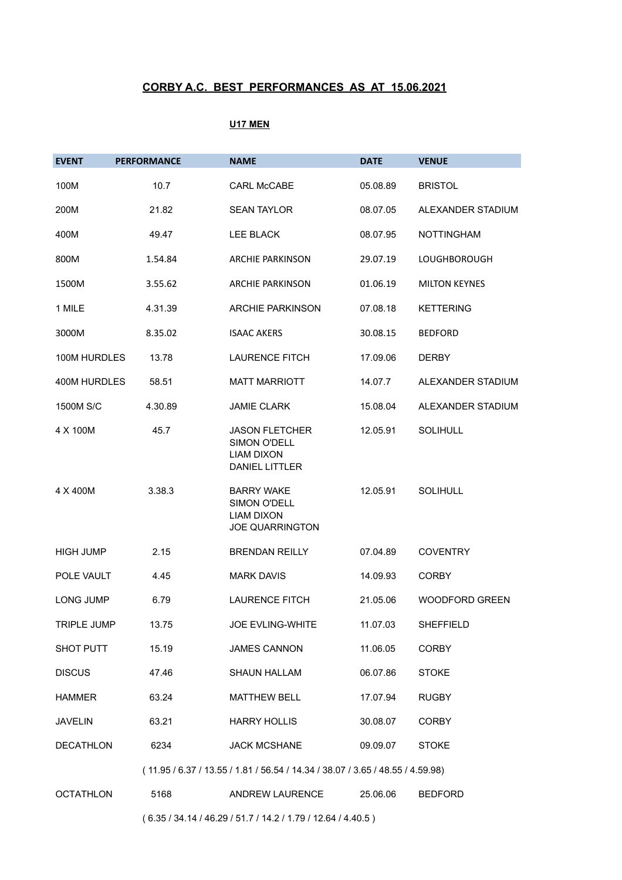### **U17 MEN**

| <b>EVENT</b>     | <b>PERFORMANCE</b> | <b>NAME</b>                                                                                | <b>DATE</b> | <b>VENUE</b>          |
|------------------|--------------------|--------------------------------------------------------------------------------------------|-------------|-----------------------|
| 100M             | 10.7               | <b>CARL McCABE</b>                                                                         | 05.08.89    | <b>BRISTOL</b>        |
| 200M             | 21.82              | <b>SEAN TAYLOR</b>                                                                         | 08.07.05    | ALEXANDER STADIUM     |
| 400M             | 49.47              | <b>LEE BLACK</b>                                                                           | 08.07.95    | <b>NOTTINGHAM</b>     |
| 800M             | 1.54.84            | <b>ARCHIE PARKINSON</b>                                                                    | 29.07.19    | <b>LOUGHBOROUGH</b>   |
| 1500M            | 3.55.62            | <b>ARCHIE PARKINSON</b>                                                                    | 01.06.19    | <b>MILTON KEYNES</b>  |
| 1 MILE           | 4.31.39            | <b>ARCHIE PARKINSON</b>                                                                    | 07.08.18    | <b>KETTERING</b>      |
| 3000M            | 8.35.02            | <b>ISAAC AKERS</b>                                                                         | 30.08.15    | <b>BEDFORD</b>        |
| 100M HURDLES     | 13.78              | <b>LAURENCE FITCH</b>                                                                      | 17.09.06    | <b>DERBY</b>          |
| 400M HURDLES     | 58.51              | <b>MATT MARRIOTT</b>                                                                       | 14.07.7     | ALEXANDER STADIUM     |
| 1500M S/C        | 4.30.89            | <b>JAMIE CLARK</b>                                                                         | 15.08.04    | ALEXANDER STADIUM     |
| 4 X 100M         | 45.7               | <b>JASON FLETCHER</b><br><b>SIMON O'DELL</b><br><b>LIAM DIXON</b><br><b>DANIEL LITTLER</b> | 12.05.91    | <b>SOLIHULL</b>       |
| 4 X 400M         | 3.38.3             | <b>BARRY WAKE</b><br>SIMON O'DELL<br><b>LIAM DIXON</b><br><b>JOE QUARRINGTON</b>           | 12.05.91    | <b>SOLIHULL</b>       |
| <b>HIGH JUMP</b> | 2.15               | <b>BRENDAN REILLY</b>                                                                      | 07.04.89    | <b>COVENTRY</b>       |
| POLE VAULT       | 4.45               | <b>MARK DAVIS</b>                                                                          | 14.09.93    | <b>CORBY</b>          |
| <b>LONG JUMP</b> | 6.79               | <b>LAURENCE FITCH</b>                                                                      | 21.05.06    | <b>WOODFORD GREEN</b> |
| TRIPLE JUMP      | 13.75              | JOE EVLING-WHITE                                                                           | 11.07.03    | SHEFFIELD             |
| SHOT PUTT        | 15.19              | <b>JAMES CANNON</b>                                                                        | 11.06.05    | <b>CORBY</b>          |
| <b>DISCUS</b>    | 47.46              | <b>SHAUN HALLAM</b>                                                                        | 06.07.86    | <b>STOKE</b>          |
| <b>HAMMER</b>    | 63.24              | <b>MATTHEW BELL</b>                                                                        | 17.07.94    | <b>RUGBY</b>          |
| <b>JAVELIN</b>   | 63.21              | <b>HARRY HOLLIS</b>                                                                        | 30.08.07    | <b>CORBY</b>          |
| <b>DECATHLON</b> | 6234               | <b>JACK MCSHANE</b>                                                                        | 09.09.07    | <b>STOKE</b>          |
|                  |                    | (11.95 / 6.37 / 13.55 / 1.81 / 56.54 / 14.34 / 38.07 / 3.65 / 48.55 / 4.59.98)             |             |                       |
| <b>OCTATHLON</b> | 5168               | ANDREW LAURENCE                                                                            | 25.06.06    | <b>BEDFORD</b>        |

( 6.35 / 34.14 / 46.29 / 51.7 / 14.2 / 1.79 / 12.64 / 4.40.5 )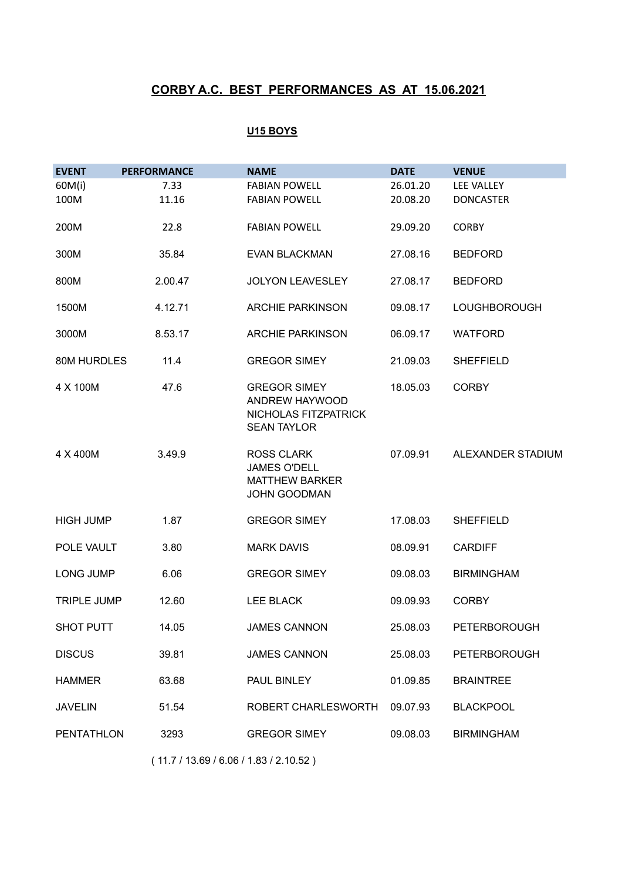### **U15 BOYS**

| <b>EVENT</b>       | <b>PERFORMANCE</b> | <b>NAME</b>                                                                              | <b>DATE</b> | <b>VENUE</b>        |
|--------------------|--------------------|------------------------------------------------------------------------------------------|-------------|---------------------|
| 60M(i)             | 7.33               | <b>FABIAN POWELL</b>                                                                     | 26.01.20    | LEE VALLEY          |
| 100M               | 11.16              | <b>FABIAN POWELL</b>                                                                     | 20.08.20    | <b>DONCASTER</b>    |
| 200M               | 22.8               | <b>FABIAN POWELL</b>                                                                     | 29.09.20    | <b>CORBY</b>        |
| 300M               | 35.84              | <b>EVAN BLACKMAN</b>                                                                     | 27.08.16    | <b>BEDFORD</b>      |
| 800M               | 2.00.47            | <b>JOLYON LEAVESLEY</b>                                                                  | 27.08.17    | <b>BEDFORD</b>      |
| 1500M              | 4.12.71            | <b>ARCHIE PARKINSON</b>                                                                  | 09.08.17    | <b>LOUGHBOROUGH</b> |
| 3000M              | 8.53.17            | <b>ARCHIE PARKINSON</b>                                                                  | 06.09.17    | WATFORD             |
| 80M HURDLES        | 11.4               | <b>GREGOR SIMEY</b>                                                                      | 21.09.03    | <b>SHEFFIELD</b>    |
| 4 X 100M           | 47.6               | <b>GREGOR SIMEY</b><br>ANDREW HAYWOOD<br>NICHOLAS FITZPATRICK<br><b>SEAN TAYLOR</b>      | 18.05.03    | <b>CORBY</b>        |
| 4 X 400M           | 3.49.9             | <b>ROSS CLARK</b><br><b>JAMES O'DELL</b><br><b>MATTHEW BARKER</b><br><b>JOHN GOODMAN</b> | 07.09.91    | ALEXANDER STADIUM   |
| <b>HIGH JUMP</b>   | 1.87               | <b>GREGOR SIMEY</b>                                                                      | 17.08.03    | <b>SHEFFIELD</b>    |
| POLE VAULT         | 3.80               | <b>MARK DAVIS</b>                                                                        | 08.09.91    | <b>CARDIFF</b>      |
| <b>LONG JUMP</b>   | 6.06               | <b>GREGOR SIMEY</b>                                                                      | 09.08.03    | <b>BIRMINGHAM</b>   |
| <b>TRIPLE JUMP</b> | 12.60              | LEE BLACK                                                                                | 09.09.93    | <b>CORBY</b>        |
| SHOT PUTT          | 14.05              | <b>JAMES CANNON</b>                                                                      | 25.08.03    | PETERBOROUGH        |
| <b>DISCUS</b>      | 39.81              | <b>JAMES CANNON</b>                                                                      | 25.08.03    | <b>PETERBOROUGH</b> |
| <b>HAMMER</b>      | 63.68              | PAUL BINLEY                                                                              | 01.09.85    | <b>BRAINTREE</b>    |
| <b>JAVELIN</b>     | 51.54              | ROBERT CHARLESWORTH                                                                      | 09.07.93    | <b>BLACKPOOL</b>    |
| <b>PENTATHLON</b>  | 3293               | <b>GREGOR SIMEY</b>                                                                      | 09.08.03    | <b>BIRMINGHAM</b>   |

( 11.7 / 13.69 / 6.06 / 1.83 / 2.10.52 )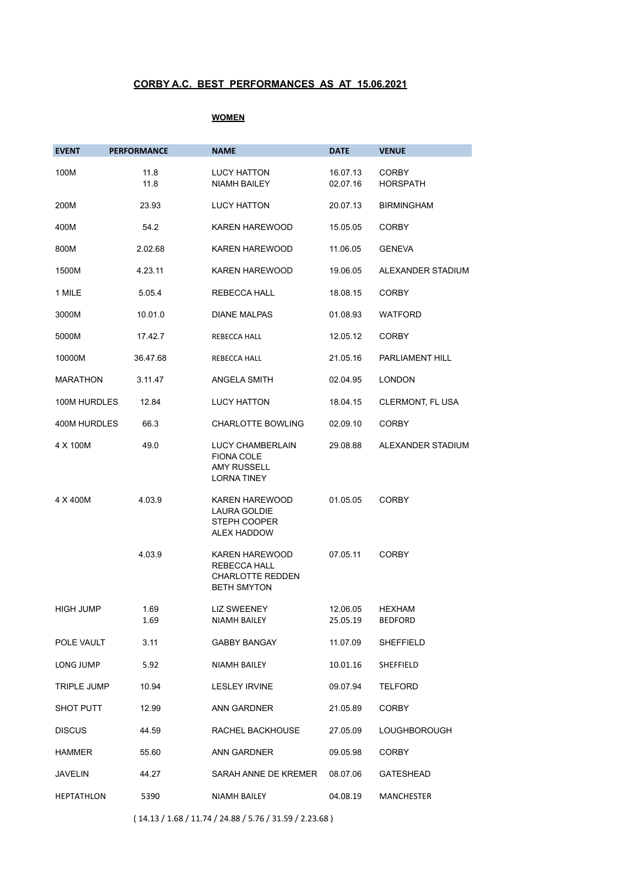#### **WOMEN**

| <b>EVENT</b>       | <b>PERFORMANCE</b> | <b>NAME</b>                                                                            | <b>DATE</b>          | <b>VENUE</b>             |
|--------------------|--------------------|----------------------------------------------------------------------------------------|----------------------|--------------------------|
| 100M               | 11.8<br>11.8       | <b>LUCY HATTON</b><br><b>NIAMH BAILEY</b>                                              | 16.07.13<br>02.07.16 | <b>CORBY</b><br>HORSPATH |
| 200M               | 23.93              | LUCY HATTON                                                                            | 20.07.13             | <b>BIRMINGHAM</b>        |
| 400M               | 54.2               | KAREN HAREWOOD                                                                         | 15.05.05             | <b>CORBY</b>             |
| 800M               | 2.02.68            | <b>KAREN HAREWOOD</b>                                                                  | 11.06.05             | <b>GENEVA</b>            |
| 1500M              | 4.23.11            | <b>KAREN HAREWOOD</b>                                                                  | 19.06.05             | ALEXANDER STADIUM        |
| 1 MILE             | 5.05.4             | REBECCA HALL                                                                           | 18.08.15             | <b>CORBY</b>             |
| 3000M              | 10.01.0            | <b>DIANE MALPAS</b>                                                                    | 01.08.93             | WATFORD                  |
| 5000M              | 17.42.7            | REBECCA HALL                                                                           | 12.05.12             | <b>CORBY</b>             |
| 10000M             | 36.47.68           | REBECCA HALL                                                                           | 21.05.16             | PARLIAMENT HILL          |
| <b>MARATHON</b>    | 3.11.47            | <b>ANGELA SMITH</b>                                                                    | 02.04.95             | LONDON                   |
| 100M HURDLES       | 12.84              | <b>LUCY HATTON</b>                                                                     | 18.04.15             | CLERMONT, FL USA         |
| 400M HURDLES       | 66.3               | <b>CHARLOTTE BOWLING</b>                                                               | 02.09.10             | <b>CORBY</b>             |
| 4 X 100M           | 49.0               | LUCY CHAMBERLAIN<br><b>FIONA COLE</b><br><b>AMY RUSSELL</b><br><b>LORNA TINEY</b>      | 29.08.88             | ALEXANDER STADIUM        |
| 4 X 400M           | 4.03.9             | <b>KAREN HAREWOOD</b><br><b>LAURA GOLDIE</b><br>STEPH COOPER<br>ALEX HADDOW            | 01.05.05             | <b>CORBY</b>             |
|                    | 4.03.9             | <b>KAREN HAREWOOD</b><br>REBECCA HALL<br><b>CHARLOTTE REDDEN</b><br><b>BETH SMYTON</b> | 07.05.11             | <b>CORBY</b>             |
| <b>HIGH JUMP</b>   | 1.69<br>1.69       | LIZ SWEENEY<br>NIAMH BAILEY                                                            | 12.06.05<br>25.05.19 | HEXHAM<br><b>BEDFORD</b> |
| POLE VAULT         | 3.11               | GABBY BANGAY                                                                           | 11.07.09             | SHEFFIELD                |
| LONG JUMP          | 5.92               | NIAMH BAILEY                                                                           | 10.01.16             | SHEFFIELD                |
| <b>TRIPLE JUMP</b> | 10.94              | LESLEY IRVINE                                                                          | 09.07.94             | TELFORD                  |
| SHOT PUTT          | 12.99              | ANN GARDNER                                                                            | 21.05.89             | <b>CORBY</b>             |
| <b>DISCUS</b>      | 44.59              | RACHEL BACKHOUSE                                                                       | 27.05.09             | LOUGHBOROUGH             |
| HAMMER             | 55.60              | ANN GARDNER                                                                            | 09.05.98             | <b>CORBY</b>             |
| JAVELIN            | 44.27              | SARAH ANNE DE KREMER                                                                   | 08.07.06             | <b>GATESHEAD</b>         |
| HEPTATHLON         | 5390               | NIAMH BAILEY                                                                           | 04.08.19             | MANCHESTER               |

( 14.13 / 1.68 / 11.74 / 24.88 / 5.76 / 31.59 / 2.23.68 )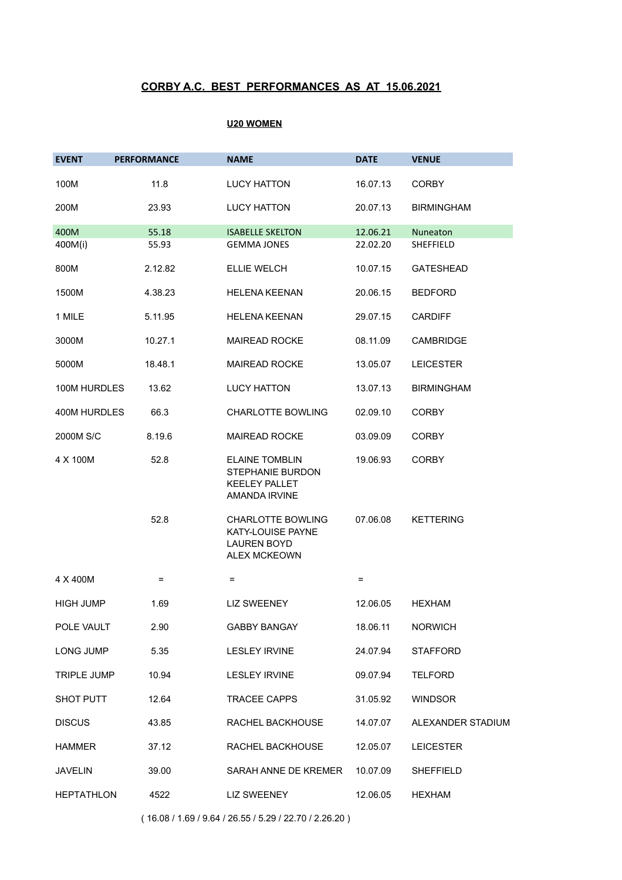#### **U20 WOMEN**

| <b>EVENT</b>      | <b>PERFORMANCE</b> | <b>NAME</b>                                                                                | <b>DATE</b> | <b>VENUE</b>      |
|-------------------|--------------------|--------------------------------------------------------------------------------------------|-------------|-------------------|
| 100M              | 11.8               | <b>LUCY HATTON</b>                                                                         | 16.07.13    | <b>CORBY</b>      |
| 200M              | 23.93              | <b>LUCY HATTON</b>                                                                         | 20.07.13    | <b>BIRMINGHAM</b> |
| 400M              | 55.18              | <b>ISABELLE SKELTON</b>                                                                    | 12.06.21    | Nuneaton          |
| 400M(i)           | 55.93              | <b>GEMMA JONES</b>                                                                         | 22.02.20    | SHEFFIELD         |
| 800M              | 2.12.82            | <b>ELLIE WELCH</b>                                                                         | 10.07.15    | <b>GATESHEAD</b>  |
| 1500M             | 4.38.23            | <b>HELENA KEENAN</b>                                                                       | 20.06.15    | <b>BEDFORD</b>    |
| 1 MILE            | 5.11.95            | <b>HELENA KEENAN</b>                                                                       | 29.07.15    | <b>CARDIFF</b>    |
| 3000M             | 10.27.1            | <b>MAIREAD ROCKE</b>                                                                       | 08.11.09    | <b>CAMBRIDGE</b>  |
| 5000M             | 18.48.1            | <b>MAIREAD ROCKE</b>                                                                       | 13.05.07    | <b>LEICESTER</b>  |
| 100M HURDLES      | 13.62              | <b>LUCY HATTON</b>                                                                         | 13.07.13    | <b>BIRMINGHAM</b> |
| 400M HURDLES      | 66.3               | <b>CHARLOTTE BOWLING</b>                                                                   | 02.09.10    | <b>CORBY</b>      |
| 2000M S/C         | 8.19.6             | <b>MAIREAD ROCKE</b>                                                                       | 03.09.09    | <b>CORBY</b>      |
| 4 X 100M          | 52.8               | <b>ELAINE TOMBLIN</b><br>STEPHANIE BURDON<br><b>KEELEY PALLET</b><br>AMANDA IRVINE         | 19.06.93    | <b>CORBY</b>      |
|                   | 52.8               | <b>CHARLOTTE BOWLING</b><br>KATY-LOUISE PAYNE<br><b>LAUREN BOYD</b><br><b>ALEX MCKEOWN</b> | 07.06.08    | <b>KETTERING</b>  |
| 4 X 400M          | $=$                | Ξ                                                                                          | $\equiv$    |                   |
| <b>HIGH JUMP</b>  | 1.69               | LIZ SWEENEY                                                                                | 12.06.05    | <b>HEXHAM</b>     |
| POLE VAULT        | 2.90               | <b>GABBY BANGAY</b>                                                                        | 18.06.11    | <b>NORWICH</b>    |
| LONG JUMP         | 5.35               | LESLEY IRVINE                                                                              | 24.07.94    | <b>STAFFORD</b>   |
| TRIPLE JUMP       | 10.94              | <b>LESLEY IRVINE</b>                                                                       | 09.07.94    | <b>TELFORD</b>    |
| <b>SHOT PUTT</b>  | 12.64              | TRACEE CAPPS                                                                               | 31.05.92    | <b>WINDSOR</b>    |
| <b>DISCUS</b>     | 43.85              | RACHEL BACKHOUSE                                                                           | 14.07.07    | ALEXANDER STADIUM |
| HAMMER            | 37.12              | RACHEL BACKHOUSE                                                                           | 12.05.07    | <b>LEICESTER</b>  |
| <b>JAVELIN</b>    | 39.00              | SARAH ANNE DE KREMER                                                                       | 10.07.09    | SHEFFIELD         |
| <b>HEPTATHLON</b> | 4522               | <b>LIZ SWEENEY</b>                                                                         | 12.06.05    | <b>HEXHAM</b>     |

( 16.08 / 1.69 / 9.64 / 26.55 / 5.29 / 22.70 / 2.26.20 )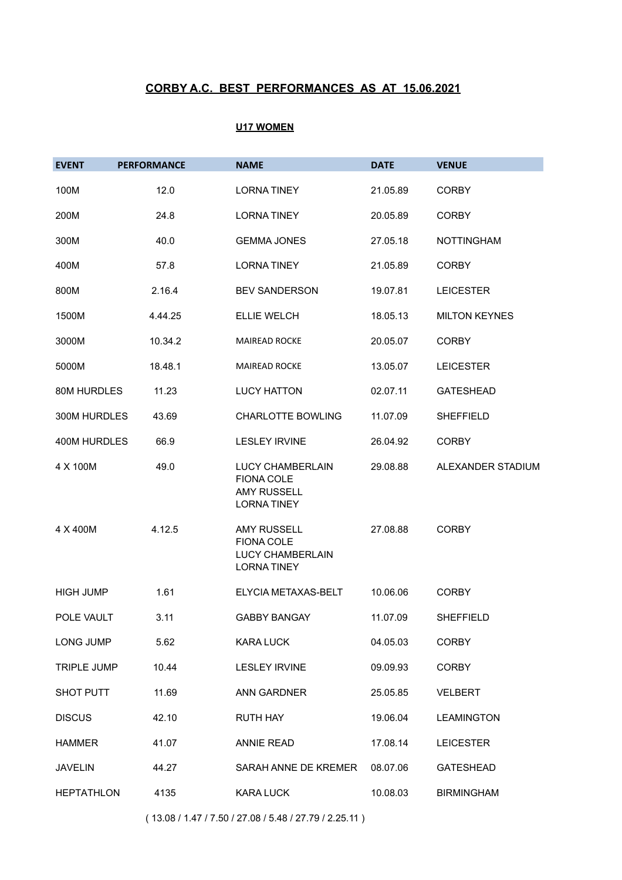### **U17 WOMEN**

| <b>EVENT</b>       | <b>PERFORMANCE</b> | <b>NAME</b>                                                                             | <b>DATE</b> | <b>VENUE</b>         |
|--------------------|--------------------|-----------------------------------------------------------------------------------------|-------------|----------------------|
| 100M               | 12.0               | <b>LORNATINEY</b>                                                                       | 21.05.89    | <b>CORBY</b>         |
| 200M               | 24.8               | <b>LORNATINEY</b>                                                                       | 20.05.89    | <b>CORBY</b>         |
| 300M               | 40.0               | <b>GEMMA JONES</b>                                                                      | 27.05.18    | <b>NOTTINGHAM</b>    |
| 400M               | 57.8               | <b>LORNATINEY</b>                                                                       | 21.05.89    | <b>CORBY</b>         |
| 800M               | 2.16.4             | <b>BEV SANDERSON</b>                                                                    | 19.07.81    | <b>LEICESTER</b>     |
| 1500M              | 4.44.25            | <b>ELLIE WELCH</b>                                                                      | 18.05.13    | <b>MILTON KEYNES</b> |
| 3000M              | 10.34.2            | MAIREAD ROCKE                                                                           | 20.05.07    | <b>CORBY</b>         |
| 5000M              | 18.48.1            | MAIREAD ROCKE                                                                           | 13.05.07    | <b>LEICESTER</b>     |
| 80M HURDLES        | 11.23              | <b>LUCY HATTON</b>                                                                      | 02.07.11    | <b>GATESHEAD</b>     |
| 300M HURDLES       | 43.69              | <b>CHARLOTTE BOWLING</b>                                                                | 11.07.09    | <b>SHEFFIELD</b>     |
| 400M HURDLES       | 66.9               | <b>LESLEY IRVINE</b>                                                                    | 26.04.92    | <b>CORBY</b>         |
| 4 X 100M           | 49.0               | LUCY CHAMBERLAIN<br><b>FIONA COLE</b><br><b>AMY RUSSELL</b><br><b>LORNATINEY</b>        | 29.08.88    | ALEXANDER STADIUM    |
| 4 X 400M           | 4.12.5             | <b>AMY RUSSELL</b><br><b>FIONA COLE</b><br><b>LUCY CHAMBERLAIN</b><br><b>LORNATINEY</b> | 27.08.88    | <b>CORBY</b>         |
| <b>HIGH JUMP</b>   | 1.61               | ELYCIA METAXAS-BELT                                                                     | 10.06.06    | <b>CORBY</b>         |
| POLE VAULT         | 3.11               | <b>GABBY BANGAY</b>                                                                     | 11.07.09    | <b>SHEFFIELD</b>     |
| LONG JUMP          | 5.62               | KARA LUCK                                                                               | 04.05.03    | <b>CORBY</b>         |
| <b>TRIPLE JUMP</b> | 10.44              | <b>LESLEY IRVINE</b>                                                                    | 09.09.93    | <b>CORBY</b>         |
| SHOT PUTT          | 11.69              | <b>ANN GARDNER</b>                                                                      | 25.05.85    | <b>VELBERT</b>       |
| <b>DISCUS</b>      | 42.10              | <b>RUTH HAY</b>                                                                         | 19.06.04    | <b>LEAMINGTON</b>    |
| <b>HAMMER</b>      | 41.07              | <b>ANNIE READ</b>                                                                       | 17.08.14    | <b>LEICESTER</b>     |
| <b>JAVELIN</b>     | 44.27              | SARAH ANNE DE KREMER                                                                    | 08.07.06    | <b>GATESHEAD</b>     |
| <b>HEPTATHLON</b>  | 4135               | <b>KARA LUCK</b>                                                                        | 10.08.03    | <b>BIRMINGHAM</b>    |

( 13.08 / 1.47 / 7.50 / 27.08 / 5.48 / 27.79 / 2.25.11 )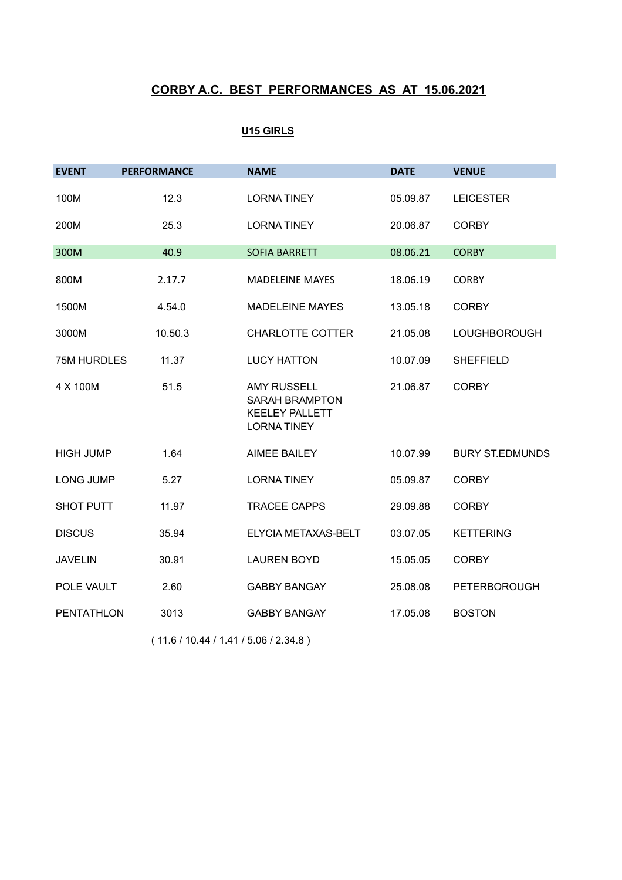## **U15 GIRLS**

| <b>EVENT</b>       | <b>PERFORMANCE</b> | <b>NAME</b>                                                                               | <b>DATE</b> | <b>VENUE</b>           |
|--------------------|--------------------|-------------------------------------------------------------------------------------------|-------------|------------------------|
| 100M               | 12.3               | <b>LORNA TINEY</b>                                                                        | 05.09.87    | <b>LEICESTER</b>       |
| 200M               | 25.3               | <b>LORNATINEY</b>                                                                         | 20.06.87    | <b>CORBY</b>           |
| 300M               | 40.9               | <b>SOFIA BARRETT</b>                                                                      | 08.06.21    | <b>CORBY</b>           |
| 800M               | 2.17.7             | <b>MADELEINE MAYES</b>                                                                    | 18.06.19    | <b>CORBY</b>           |
| 1500M              | 4.54.0             | <b>MADELEINE MAYES</b>                                                                    | 13.05.18    | <b>CORBY</b>           |
| 3000M              | 10.50.3            | <b>CHARLOTTE COTTER</b>                                                                   | 21.05.08    | <b>LOUGHBOROUGH</b>    |
| <b>75M HURDLES</b> | 11.37              | <b>LUCY HATTON</b>                                                                        | 10.07.09    | <b>SHEFFIELD</b>       |
| 4 X 100M           | 51.5               | <b>AMY RUSSELL</b><br><b>SARAH BRAMPTON</b><br><b>KEELEY PALLETT</b><br><b>LORNATINEY</b> | 21.06.87    | <b>CORBY</b>           |
| <b>HIGH JUMP</b>   | 1.64               | <b>AIMEE BAILEY</b>                                                                       | 10.07.99    | <b>BURY ST.EDMUNDS</b> |
| <b>LONG JUMP</b>   | 5.27               | <b>LORNATINEY</b>                                                                         | 05.09.87    | <b>CORBY</b>           |
| <b>SHOT PUTT</b>   | 11.97              | <b>TRACEE CAPPS</b>                                                                       | 29.09.88    | <b>CORBY</b>           |
| <b>DISCUS</b>      | 35.94              | ELYCIA METAXAS-BELT                                                                       | 03.07.05    | <b>KETTERING</b>       |
| <b>JAVELIN</b>     | 30.91              | <b>LAUREN BOYD</b>                                                                        | 15.05.05    | <b>CORBY</b>           |
| POLE VAULT         | 2.60               | <b>GABBY BANGAY</b>                                                                       | 25.08.08    | <b>PETERBOROUGH</b>    |
| PENTATHLON         | 3013               | <b>GABBY BANGAY</b>                                                                       | 17.05.08    | <b>BOSTON</b>          |

( 11.6 / 10.44 / 1.41 / 5.06 / 2.34.8 )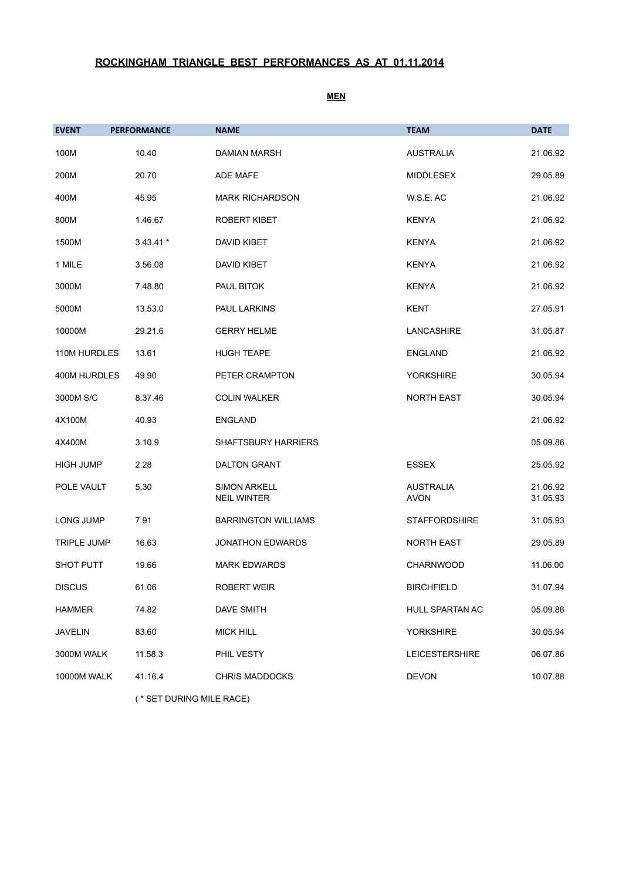# **ROCKINGHAM TRIANGLE BEST PERFORMANCES AS AT 01.11.2014**

**MEN**

| <b>EVENT</b>       | <b>PERFORMANCE</b> | <b>NAME</b>                               | <b>TEAM</b>                     | <b>DATE</b>          |
|--------------------|--------------------|-------------------------------------------|---------------------------------|----------------------|
| 100M               | 10.40              | <b>DAMIAN MARSH</b>                       | <b>AUSTRALIA</b>                | 21.06.92             |
| 200M               | 20.70              | <b>ADE MAFE</b>                           | <b>MIDDLESEX</b>                | 29.05.89             |
| 400M               | 45.95              | <b>MARK RICHARDSON</b>                    | W.S.E. AC                       | 21.06.92             |
| 800M               | 1.46.67            | ROBERT KIBET                              | <b>KENYA</b>                    | 21.06.92             |
| 1500M              | $3.43.41*$         | DAVID KIBET                               | <b>KENYA</b>                    | 21.06.92             |
| 1 MILE             | 3.56.08            | <b>DAVID KIBET</b>                        | <b>KENYA</b>                    | 21.06.92             |
| 3000M              | 7.48.80            | PAUL BITOK                                | <b>KENYA</b>                    | 21.06.92             |
| 5000M              | 13.53.0            | PAUL LARKINS                              | <b>KENT</b>                     | 27.05.91             |
| 10000M             | 29.21.6            | <b>GERRY HELME</b>                        | LANCASHIRE                      | 31.05.87             |
| 110M HURDLES       | 13.61              | <b>HUGH TEAPE</b>                         | <b>ENGLAND</b>                  | 21.06.92             |
| 400M HURDLES       | 49.90              | PETER CRAMPTON                            | <b>YORKSHIRE</b>                | 30.05.94             |
| 3000M S/C          | 8.37.46            | <b>COLIN WALKER</b>                       | <b>NORTH EAST</b>               | 30.05.94             |
| 4X100M             | 40.93              | <b>ENGLAND</b>                            |                                 | 21.06.92             |
| 4X400M             | 3.10.9             | <b>SHAFTSBURY HARRIERS</b>                |                                 | 05.09.86             |
| <b>HIGH JUMP</b>   | 2.28               | <b>DALTON GRANT</b>                       | <b>ESSEX</b>                    | 25.05.92             |
| POLE VAULT         | 5.30               | <b>SIMON ARKELL</b><br><b>NEIL WINTER</b> | <b>AUSTRALIA</b><br><b>AVON</b> | 21.06.92<br>31.05.93 |
| LONG JUMP          | 7.91               | <b>BARRINGTON WILLIAMS</b>                | <b>STAFFORDSHIRE</b>            | 31.05.93             |
| <b>TRIPLE JUMP</b> | 16.63              | <b>JONATHON EDWARDS</b>                   | <b>NORTH EAST</b>               | 29.05.89             |
| <b>SHOT PUTT</b>   | 19.66              | <b>MARK EDWARDS</b>                       | <b>CHARNWOOD</b>                | 11.06.00             |
| <b>DISCUS</b>      | 61.06              | <b>ROBERT WEIR</b>                        | <b>BIRCHFIELD</b>               | 31.07.94             |
| <b>HAMMER</b>      | 74.82              | <b>DAVE SMITH</b>                         | HULL SPARTAN AC                 | 05.09.86             |
| <b>JAVELIN</b>     | 83.60              | <b>MICK HILL</b>                          | <b>YORKSHIRE</b>                | 30.05.94             |
| 3000M WALK         | 11.58.3            | PHIL VESTY                                | <b>LEICESTERSHIRE</b>           | 06.07.86             |
| <b>10000M WALK</b> | 41.16.4            | <b>CHRIS MADDOCKS</b>                     | <b>DEVON</b>                    | 10.07.88             |

( \* SET DURING MILE RACE)